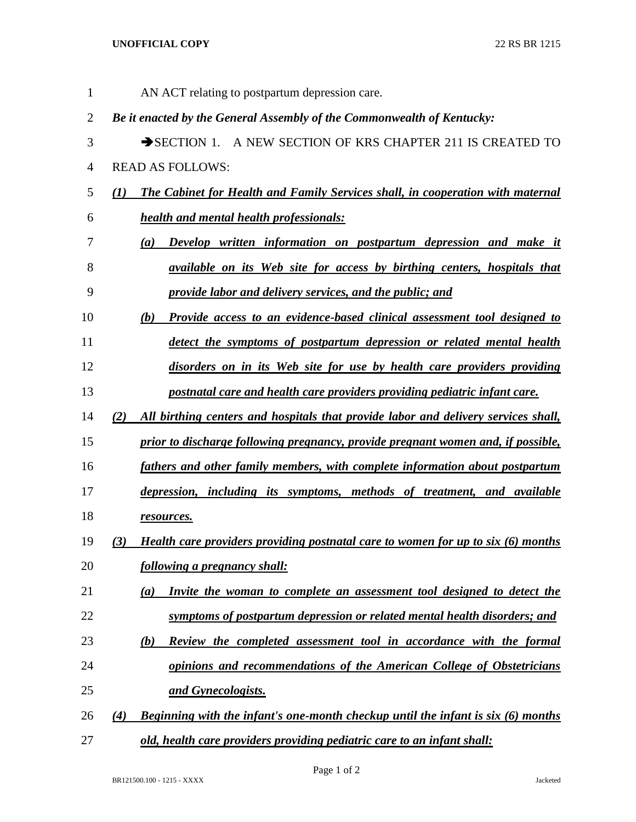## **UNOFFICIAL COPY** 22 RS BR 1215

| $\mathbf{1}$   |              | AN ACT relating to postpartum depression care.                                          |
|----------------|--------------|-----------------------------------------------------------------------------------------|
| $\overline{2}$ |              | Be it enacted by the General Assembly of the Commonwealth of Kentucky:                  |
| 3              |              | SECTION 1. A NEW SECTION OF KRS CHAPTER 211 IS CREATED TO                               |
| $\overline{4}$ |              | <b>READ AS FOLLOWS:</b>                                                                 |
| 5              | $\mathbf{U}$ | The Cabinet for Health and Family Services shall, in cooperation with maternal          |
| 6              |              | <b>health and mental health professionals:</b>                                          |
| 7              |              | Develop written information on postpartum depression and make it<br>(a)                 |
| 8              |              | <i>available on its Web site for access by birthing centers, hospitals that</i>         |
| 9              |              | provide labor and delivery services, and the public; and                                |
| 10             |              | Provide access to an evidence-based clinical assessment tool designed to<br>(b)         |
| 11             |              | detect the symptoms of postpartum depression or related mental health                   |
| 12             |              | disorders on in its Web site for use by health care providers providing                 |
| 13             |              | postnatal care and health care providers providing pediatric infant care.               |
| 14             | (2)          | All birthing centers and hospitals that provide labor and delivery services shall,      |
| 15             |              | prior to discharge following pregnancy, provide pregnant women and, if possible,        |
| 16             |              | fathers and other family members, with complete information about postpartum            |
| 17             |              | depression, including its symptoms, methods of treatment, and available                 |
| 18             |              | resources.                                                                              |
| 19             | (3)          | Health care providers providing postnatal care to women for up to six (6) months        |
| 20             |              | <u>following a pregnancy shall:</u>                                                     |
| 21             |              | Invite the woman to complete an assessment tool designed to detect the<br>(a)           |
| 22             |              | symptoms of postpartum depression or related mental health disorders; and               |
| 23             |              | Review the completed assessment tool in accordance with the formal<br>(b)               |
| 24             |              | opinions and recommendations of the American College of Obstetricians                   |
| 25             |              | and Gynecologists.                                                                      |
| 26             | (4)          | <b>Beginning with the infant's one-month checkup until the infant is six (6) months</b> |
| 27             |              | old, health care providers providing pediatric care to an infant shall:                 |

Page 1 of 2